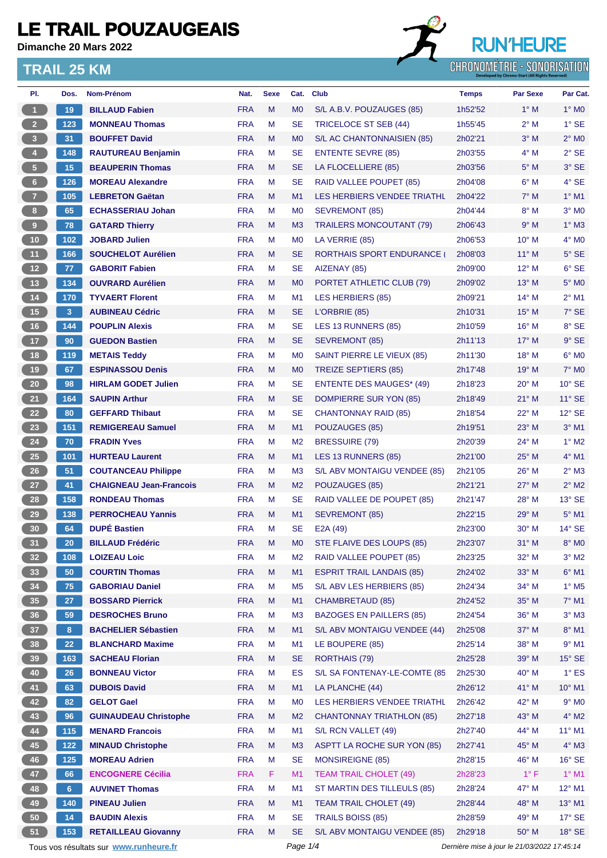**Dimanche 20 Mars 2022**

#### **TRAIL 25 KM**



| PI.                     | Dos.            | Nom-Prénom                                              | Nat.                     | <b>Sexe</b> | Cat.           | <b>Club</b>                      | <b>Temps</b>                                | <b>Par Sexe</b> | Par Cat.                 |
|-------------------------|-----------------|---------------------------------------------------------|--------------------------|-------------|----------------|----------------------------------|---------------------------------------------|-----------------|--------------------------|
| $\overline{1}$          | 19              | <b>BILLAUD Fabien</b>                                   | <b>FRA</b>               | M           | M <sub>0</sub> | S/L A.B.V. POUZAUGES (85)        | 1h52'52                                     | $1^\circ$ M     | $1^\circ$ MO             |
| 2 <sup>7</sup>          | 123             | <b>MONNEAU Thomas</b>                                   | <b>FRA</b>               | м           | SE             | <b>TRICELOCE ST SEB (44)</b>     | 1h55'45                                     | $2^{\circ}$ M   | $1^\circ$ SE             |
| $\overline{\mathbf{3}}$ | 31 <sup>°</sup> | <b>BOUFFET David</b>                                    | <b>FRA</b>               | M           | M <sub>0</sub> | S/L AC CHANTONNAISIEN (85)       | 2h02'21                                     | $3^\circ$ M     | $2^\circ$ MO             |
| $\overline{4}$          | 148             | <b>RAUTUREAU Benjamin</b>                               | <b>FRA</b>               | М           | <b>SE</b>      | <b>ENTENTE SEVRE (85)</b>        | 2h03'55                                     | $4^\circ$ M     | $2°$ SE                  |
| 5 <sup>2</sup>          | 15              | <b>BEAUPERIN Thomas</b>                                 | <b>FRA</b>               | M           | <b>SE</b>      | LA FLOCELLIERE (85)              | 2h03'56                                     | $5^\circ$ M     | $3°$ SE                  |
| $6-$                    | 126             | <b>MOREAU Alexandre</b>                                 | <b>FRA</b>               | M           | <b>SE</b>      | RAID VALLEE POUPET (85)          | 2h04'08                                     | $6^\circ$ M     | 4° SE                    |
| $\overline{7}$          | 105             | <b>LEBRETON Gaëtan</b>                                  | <b>FRA</b>               | M           | M1             | LES HERBIERS VENDEE TRIATHL      | 2h04'22                                     | $7^\circ$ M     | $1°$ M1                  |
| 8 <sub>1</sub>          | 65              | <b>ECHASSERIAU Johan</b>                                | <b>FRA</b>               | M           | M <sub>0</sub> | SEVREMONT (85)                   | 2h04'44                                     | $8^\circ$ M     | $3°$ MO                  |
| $\overline{9}$          | 78              | <b>GATARD Thierry</b>                                   | <b>FRA</b>               | M           | M <sub>3</sub> | <b>TRAILERS MONCOUTANT (79)</b>  | 2h06'43                                     | 9° M            | $1^\circ$ M3             |
| 10                      | 102             | <b>JOBARD Julien</b>                                    | <b>FRA</b>               | M           | M <sub>0</sub> | LA VERRIE (85)                   | 2h06'53                                     | 10° M           | $4^\circ$ MO             |
| 11                      | 166             | <b>SOUCHELOT Aurélien</b>                               | <b>FRA</b>               | M           | <b>SE</b>      | <b>RORTHAIS SPORT ENDURANCE</b>  | 2h08'03                                     | $11^{\circ}$ M  | $5^\circ$ SE             |
| 12                      | 77              | <b>GABORIT Fabien</b>                                   | <b>FRA</b>               | М           | <b>SE</b>      | AIZENAY (85)                     | 2h09'00                                     | 12° M           | $6°$ SE                  |
| 13                      | 134             | <b>OUVRARD Aurélien</b>                                 | <b>FRA</b>               | M           | M <sub>0</sub> | PORTET ATHLETIC CLUB (79)        | 2h09'02                                     | $13^{\circ}$ M  | 5° M <sub>0</sub>        |
| 14                      | 170             | <b>TYVAERT Florent</b>                                  | <b>FRA</b>               | м           | M <sub>1</sub> | LES HERBIERS (85)                | 2h09'21                                     | $14^{\circ}$ M  | $2^{\circ}$ M1           |
| 15                      | 3               | <b>AUBINEAU Cédric</b>                                  | <b>FRA</b>               | M           | <b>SE</b>      | L'ORBRIE (85)                    | 2h10'31                                     | $15^{\circ}$ M  | $7°$ SE                  |
| 16                      | 144             | <b>POUPLIN Alexis</b>                                   | <b>FRA</b>               | M           | <b>SE</b>      | LES 13 RUNNERS (85)              | 2h10'59                                     | $16^{\circ}$ M  | 8° SE                    |
| 17                      | 90              | <b>GUEDON Bastien</b>                                   | <b>FRA</b>               | M           | <b>SE</b>      | SEVREMONT (85)                   | 2h11'13                                     | $17^\circ$ M    | $9°$ SE                  |
| 18                      | 119             | <b>METAIS Teddy</b>                                     | <b>FRA</b>               | м           | M <sub>0</sub> | SAINT PIERRE LE VIEUX (85)       | 2h11'30                                     | $18^\circ$ M    | $6^\circ$ MO             |
| 19                      | 67              | <b>ESPINASSOU Denis</b>                                 | <b>FRA</b>               | M           | M <sub>0</sub> | <b>TREIZE SEPTIERS (85)</b>      | 2h17'48                                     | $19°$ M         | 7° M <sub>0</sub>        |
| $20\degree$             | 98              | <b>HIRLAM GODET Julien</b>                              | <b>FRA</b>               | M           | SE             | <b>ENTENTE DES MAUGES* (49)</b>  | 2h18'23                                     | $20^{\circ}$ M  | $10^{\circ}$ SE          |
| 21                      | 164             | <b>SAUPIN Arthur</b>                                    | <b>FRA</b>               | M           | SE             | DOMPIERRE SUR YON (85)           | 2h18'49                                     | $21^{\circ}$ M  | $11^{\circ}$ SE          |
| 22                      | 80              | <b>GEFFARD Thibaut</b>                                  | <b>FRA</b>               | м           | <b>SE</b>      | <b>CHANTONNAY RAID (85)</b>      | 2h18'54                                     | $22^{\circ}$ M  | $12^{\circ}$ SE          |
| 23                      | 151             | <b>REMIGEREAU Samuel</b>                                | <b>FRA</b>               | M           | M1             | POUZAUGES (85)                   | 2h19'51                                     | 23° M           | $3°$ M1                  |
| 24                      | 70              | <b>FRADIN Yves</b>                                      | <b>FRA</b>               | M           | M <sub>2</sub> | <b>BRESSUIRE (79)</b>            | 2h20'39                                     | 24° M           | $1^\circ$ M2             |
| 25                      |                 |                                                         | <b>FRA</b>               | M           | M1             | LES 13 RUNNERS (85)              | 2h21'00                                     | $25^{\circ}$ M  | $4^\circ$ M1             |
| $26\phantom{.}$         | 101             | <b>HURTEAU Laurent</b>                                  |                          |             |                |                                  |                                             |                 | $2^{\circ}$ M3           |
|                         | 51              | <b>COUTANCEAU Philippe</b>                              | <b>FRA</b><br><b>FRA</b> | M           | M <sub>3</sub> | S/L ABV MONTAIGU VENDEE (85)     | 2h21'05<br>2h21'21                          | $26^{\circ}$ M  | $2^{\circ}$ M2           |
| 27                      | 41              | <b>CHAIGNEAU Jean-Francois</b><br><b>RONDEAU Thomas</b> |                          | M           | M <sub>2</sub> | POUZAUGES (85)                   |                                             | $27^\circ$ M    | $13°$ SE                 |
| 28                      | 158             |                                                         | <b>FRA</b>               | M           | <b>SE</b>      | RAID VALLEE DE POUPET (85)       | 2h21'47                                     | $28^{\circ}$ M  |                          |
| 29                      | 138             | <b>PERROCHEAU Yannis</b>                                | <b>FRA</b>               | M           | M1             | <b>SEVREMONT (85)</b>            | 2h22'15                                     | $29°$ M         | $5^\circ$ M1             |
| 30                      | 64              | <b>DUPÉ Bastien</b>                                     | <b>FRA</b>               | M           | <b>SE</b>      | E2A (49)                         | 2h23'00                                     | $30^\circ$ M    | $14^{\circ}$ SE          |
| 31                      | 20              | <b>BILLAUD Frédéric</b>                                 | <b>FRA</b>               | M           | M <sub>0</sub> | STE FLAIVE DES LOUPS (85)        | 2h23'07                                     | $31^\circ$ M    | $8^\circ$ MO             |
| 32 <sub>2</sub>         | 108             | <b>LOIZEAU Loic</b>                                     | <b>FRA</b>               | M           | M <sub>2</sub> | RAID VALLEE POUPET (85)          | 2h23'25                                     | 32° M           | $3^\circ$ M2             |
| 33                      | 50              | <b>COURTIN Thomas</b>                                   | <b>FRA</b>               | M           | M1             | <b>ESPRIT TRAIL LANDAIS (85)</b> | 2h24'02                                     | 33° M           | $6^{\circ}$ M1           |
| 34                      | 75              | <b>GABORIAU Daniel</b>                                  | <b>FRA</b>               | M           | M <sub>5</sub> | S/L ABV LES HERBIERS (85)        | 2h24'34                                     | 34° M           | $1^\circ$ M <sub>5</sub> |
| 35                      | 27              | <b>BOSSARD Pierrick</b>                                 | <b>FRA</b>               | M           | M1             | <b>CHAMBRETAUD (85)</b>          | 2h24'52                                     | 35° M           | $7^\circ$ M1             |
| 36                      | 59              | <b>DESROCHES Bruno</b>                                  | <b>FRA</b>               | M           | M <sub>3</sub> | <b>BAZOGES EN PAILLERS (85)</b>  | 2h24'54                                     | 36° M           | $3^\circ$ M3             |
| 37 <sup>°</sup>         | 8               | <b>BACHELIER Sébastien</b>                              | <b>FRA</b>               | M           | M1             | S/L ABV MONTAIGU VENDEE (44)     | 2h25'08                                     | 37° M           | $8^\circ$ M1             |
| 38                      | 22              | <b>BLANCHARD Maxime</b>                                 | <b>FRA</b>               | M           | M1             | LE BOUPERE (85)                  | 2h25'14                                     | 38° M           | $9°$ M1                  |
| 39                      | 163             | <b>SACHEAU Florian</b>                                  | <b>FRA</b>               | M           | <b>SE</b>      | RORTHAIS (79)                    | 2h25'28                                     | 39° M           | $15^\circ$ SE            |
| 40                      | 26              | <b>BONNEAU Victor</b>                                   | <b>FRA</b>               | М           | ES             | S/L SA FONTENAY-LE-COMTE (85     | 2h25'30                                     | 40° M           | $1^\circ$ ES             |
| 41                      | 63              | <b>DUBOIS David</b>                                     | <b>FRA</b>               | M           | M1             | LA PLANCHE (44)                  | 2h26'12                                     | 41° M           | 10° M1                   |
| 42                      | 82              | <b>GELOT Gael</b>                                       | <b>FRA</b>               | M           | M <sub>0</sub> | LES HERBIERS VENDEE TRIATHL      | 2h26'42                                     | 42° M           | $9^\circ$ MO             |
| 43                      | 96              | <b>GUINAUDEAU Christophe</b>                            | <b>FRA</b>               | M           | M <sub>2</sub> | <b>CHANTONNAY TRIATHLON (85)</b> | 2h27'18                                     | 43° M           | $4^\circ$ M2             |
| 44                      | 115             | <b>MENARD Francois</b>                                  | <b>FRA</b>               | M           | M1             | S/L RCN VALLET (49)              | 2h27'40                                     | 44° M           | $11^{\circ}$ M1          |
| 45                      | $122$           | <b>MINAUD Christophe</b>                                | <b>FRA</b>               | M           | M <sub>3</sub> | ASPTT LA ROCHE SUR YON (85)      | 2h27'41                                     | 45° M           | $4^\circ$ M3             |
| 46                      | 125             | <b>MOREAU Adrien</b>                                    | <b>FRA</b>               | М           | <b>SE</b>      | <b>MONSIREIGNE (85)</b>          | 2h28'15                                     | 46° M           | $16^\circ$ SE            |
| 47                      | 66              | <b>ENCOGNERE Cécilia</b>                                | <b>FRA</b>               | F.          | M1             | <b>TEAM TRAIL CHOLET (49)</b>    | 2h28'23                                     | $1^{\circ}$ F   | $1^\circ$ M1             |
| 48                      | 6 <sup>1</sup>  | <b>AUVINET Thomas</b>                                   | <b>FRA</b>               | M           | M <sub>1</sub> | ST MARTIN DES TILLEULS (85)      | 2h28'24                                     | 47° M           | 12° M1                   |
| 49                      | 140             | <b>PINEAU Julien</b>                                    | <b>FRA</b>               | M           | M1             | <b>TEAM TRAIL CHOLET (49)</b>    | 2h28'44                                     | 48° M           | 13° M1                   |
| 50                      | 14              | <b>BAUDIN Alexis</b>                                    | <b>FRA</b>               | M           | <b>SE</b>      | <b>TRAILS BOISS (85)</b>         | 2h28'59                                     | 49° M           | $17^\circ$ SE            |
| 51                      | 153             | <b>RETAILLEAU Giovanny</b>                              | <b>FRA</b>               | M           | <b>SE</b>      | S/L ABV MONTAIGU VENDEE (85)     | 2h29'18                                     | 50° M           | $18^\circ$ SE            |
|                         |                 | Tous vos résultats sur www.runheure.fr                  |                          |             | Page 1/4       |                                  | Dernière mise à jour le 21/03/2022 17:45:14 |                 |                          |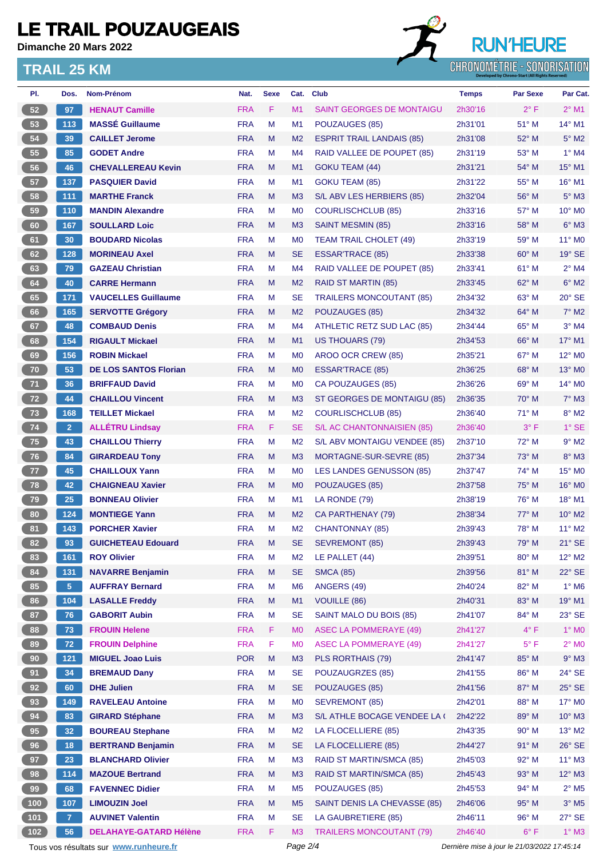**Dimanche 20 Mars 2022**

#### **TRAIL 25 KM**



| PI.   | Dos.            | Nom-Prénom                             | Nat.       | <b>Sexe</b> | Cat.           | <b>Club</b>                      | <b>Temps</b>                                | <b>Par Sexe</b> | Par Cat.                    |
|-------|-----------------|----------------------------------------|------------|-------------|----------------|----------------------------------|---------------------------------------------|-----------------|-----------------------------|
| 52    | 97              | <b>HENAUT Camille</b>                  | <b>FRA</b> | F           | M <sub>1</sub> | <b>SAINT GEORGES DE MONTAIGU</b> | 2h30'16                                     | $2^{\circ}$ F   | $2^{\circ}$ M1              |
| 53    | 113             | <b>MASSÉ Guillaume</b>                 | <b>FRA</b> | M           | M <sub>1</sub> | POUZAUGES (85)                   | 2h31'01                                     | 51° M           | $14^{\circ}$ M1             |
| 54    | 39              | <b>CAILLET Jerome</b>                  | <b>FRA</b> | M           | M <sub>2</sub> | <b>ESPRIT TRAIL LANDAIS (85)</b> | 2h31'08                                     | $52^{\circ}$ M  | $5^\circ$ M2                |
| 55    | 85              | <b>GODET Andre</b>                     | <b>FRA</b> | M           | M4             | RAID VALLEE DE POUPET (85)       | 2h31'19                                     | $53^\circ$ M    | $1^\circ$ M4                |
| 56    | 46              | <b>CHEVALLEREAU Kevin</b>              | <b>FRA</b> | M           | M <sub>1</sub> | GOKU TEAM (44)                   | 2h31'21                                     | $54^{\circ}$ M  | 15° M1                      |
| 57    | 137             | <b>PASQUIER David</b>                  | <b>FRA</b> | M           | M <sub>1</sub> | <b>GOKU TEAM (85)</b>            | 2h31'22                                     | $55^{\circ}$ M  | 16° M1                      |
| 58    | 111             | <b>MARTHE Franck</b>                   | <b>FRA</b> | M           | M <sub>3</sub> | S/L ABV LES HERBIERS (85)        | 2h32'04                                     | 56° M           | $5^\circ$ M3                |
| 59    | 110             | <b>MANDIN Alexandre</b>                | <b>FRA</b> | м           | M <sub>0</sub> | <b>COURLISCHCLUB (85)</b>        | 2h33'16                                     | $57^\circ$ M    | $10^{\circ}$ M <sub>0</sub> |
| 60    | 167             | <b>SOULLARD Loic</b>                   | <b>FRA</b> | M           | M3             | <b>SAINT MESMIN (85)</b>         | 2h33'16                                     | 58° M           | $6^\circ$ M3                |
| 61    | 30              | <b>BOUDARD Nicolas</b>                 | <b>FRA</b> | M           | M <sub>0</sub> | <b>TEAM TRAIL CHOLET (49)</b>    | 2h33'19                                     | 59° M           | 11° M0                      |
| 62    | 128             | <b>MORINEAU Axel</b>                   | <b>FRA</b> | M           | <b>SE</b>      | <b>ESSAR'TRACE (85)</b>          | 2h33'38                                     | $60^\circ$ M    | 19° SE                      |
| 63    | 79              | <b>GAZEAU Christian</b>                | <b>FRA</b> | M           | M <sub>4</sub> | RAID VALLEE DE POUPET (85)       | 2h33'41                                     | $61^\circ$ M    | $2^{\circ}$ M4              |
| 64    | 40              | <b>CARRE Hermann</b>                   | <b>FRA</b> | M           | M <sub>2</sub> | <b>RAID ST MARTIN (85)</b>       | 2h33'45                                     | $62^{\circ}$ M  | $6°$ M <sub>2</sub>         |
| 65    | 171             | <b>VAUCELLES Guillaume</b>             | <b>FRA</b> | M           | <b>SE</b>      | <b>TRAILERS MONCOUTANT (85)</b>  | 2h34'32                                     | $63^\circ$ M    | $20^\circ$ SE               |
| 66    | 165             | <b>SERVOTTE Grégory</b>                | <b>FRA</b> | M           | M <sub>2</sub> | POUZAUGES (85)                   | 2h34'32                                     | 64° M           | $7^\circ$ M2                |
| 67    | 48              | <b>COMBAUD Denis</b>                   | <b>FRA</b> | M           | M <sub>4</sub> | ATHLETIC RETZ SUD LAC (85)       | 2h34'44                                     | $65^{\circ}$ M  | $3°$ M4                     |
| 68    | 154             | <b>RIGAULT Mickael</b>                 | <b>FRA</b> | M           | M1             | US THOUARS (79)                  | 2h34'53                                     | $66^{\circ}$ M  | 17° M1                      |
| 69    | 156             | <b>ROBIN Mickael</b>                   | <b>FRA</b> | M           | M <sub>0</sub> | AROO OCR CREW (85)               | 2h35'21                                     | 67° M           | 12° M0                      |
| 70    | 53              | <b>DE LOS SANTOS Florian</b>           | <b>FRA</b> | M           | M <sub>0</sub> | ESSAR'TRACE (85)                 | 2h36'25                                     | $68^\circ$ M    | 13° MO                      |
| 71    | 36              | <b>BRIFFAUD David</b>                  | <b>FRA</b> | M           | M <sub>0</sub> | CA POUZAUGES (85)                | 2h36'26                                     | $69^\circ$ M    | $14^{\circ}$ MO             |
| 72    | 44              | <b>CHAILLOU Vincent</b>                | <b>FRA</b> | M           | M <sub>3</sub> | ST GEORGES DE MONTAIGU (85)      | 2h36'35                                     | $70^\circ$ M    | $7^\circ$ M3                |
| 73    | 168             | <b>TEILLET Mickael</b>                 | <b>FRA</b> | М           | M <sub>2</sub> | <b>COURLISCHCLUB (85)</b>        | 2h36'40                                     | 71° M           | $8^\circ$ M2                |
| 74    | 2 <sup>1</sup>  | <b>ALLÉTRU Lindsay</b>                 | <b>FRA</b> | F           | <b>SE</b>      | S/L AC CHANTONNAISIEN (85)       | 2h36'40                                     | $3^\circ$ F     | $1°$ SE                     |
| 75    | 43              | <b>CHAILLOU Thierry</b>                | <b>FRA</b> | м           | M <sub>2</sub> | S/L ABV MONTAIGU VENDEE (85)     | 2h37'10                                     | 72° M           | $9°$ M2                     |
| 76    | 84              | <b>GIRARDEAU Tony</b>                  | <b>FRA</b> | M           | M <sub>3</sub> | MORTAGNE-SUR-SEVRE (85)          | 2h37'34                                     | 73° M           | 8° M3                       |
| 77    | 45              | <b>CHAILLOUX Yann</b>                  | <b>FRA</b> | M           | M <sub>0</sub> | LES LANDES GENUSSON (85)         | 2h37'47                                     | $74^\circ$ M    | $15^{\circ}$ MO             |
| 78    | 42              | <b>CHAIGNEAU Xavier</b>                | <b>FRA</b> | M           | M <sub>0</sub> | POUZAUGES (85)                   | 2h37'58                                     | $75^\circ$ M    | 16° MO                      |
| 79    | 25              | <b>BONNEAU Olivier</b>                 | <b>FRA</b> | M           | M <sub>1</sub> | LA RONDE (79)                    | 2h38'19                                     | $76^{\circ}$ M  | 18° M1                      |
| 80    | 124             | <b>MONTIEGE Yann</b>                   | <b>FRA</b> | M           | M <sub>2</sub> | CA PARTHENAY (79)                | 2h38'34                                     | $77^\circ$ M    | $10^{\circ}$ M <sub>2</sub> |
| 81    | 143             | <b>PORCHER Xavier</b>                  | <b>FRA</b> | M           | M <sub>2</sub> | <b>CHANTONNAY (85)</b>           | 2h39'43                                     | $78^\circ$ M    | $11^{\circ}$ M2             |
| 82    | 93              | <b>GUICHETEAU Edouard</b>              | <b>FRA</b> | M           | <b>SE</b>      | SEVREMONT (85)                   | 2h39'43                                     | $79^\circ$ M    | $21^\circ$ SE               |
| 83    | 161             | <b>ROY Olivier</b>                     | <b>FRA</b> | M           | M <sub>2</sub> | LE PALLET (44)                   | 2h39'51                                     | 80° M           | $12^{\circ}$ M2             |
| 84    | 131             | <b>NAVARRE Benjamin</b>                | <b>FRA</b> | M           | <b>SE</b>      | <b>SMCA (85)</b>                 | 2h39'56                                     | 81° M           | $22^{\circ}$ SE             |
| 85    | 5 <sub>1</sub>  | <b>AUFFRAY Bernard</b>                 | <b>FRA</b> | M           | M <sub>6</sub> | ANGERS (49)                      | 2h40'24                                     | 82° M           | $1^\circ$ M6                |
| 86    | 104             | <b>LASALLE Freddy</b>                  | <b>FRA</b> | M           | M1             | <b>VOUILLE (86)</b>              | 2h40'31                                     | 83° M           | 19° M1                      |
| 87    | 76              | <b>GABORIT Aubin</b>                   | <b>FRA</b> | M           | <b>SE</b>      | SAINT MALO DU BOIS (85)          | 2h41'07                                     | 84° M           | $23^\circ$ SE               |
| 88    | 73              | <b>FROUIN Helene</b>                   | <b>FRA</b> | F           | M <sub>0</sub> | <b>ASEC LA POMMERAYE (49)</b>    | 2h41'27                                     | $4^{\circ}$ F   | $1^\circ$ MO                |
| 89    | 72 <sub>2</sub> | <b>FROUIN Delphine</b>                 | <b>FRA</b> | F           | M <sub>0</sub> | <b>ASEC LA POMMERAYE (49)</b>    | 2h41'27                                     | $5^{\circ}$ F   | $2^{\circ}$ MO              |
| 90    | $121$           | <b>MIGUEL Joao Luis</b>                | <b>POR</b> | M           | M3             | PLS RORTHAIS (79)                | 2h41'47                                     | 85° M           | $9°$ M3                     |
| 91    | 34              | <b>BREMAUD Dany</b>                    | <b>FRA</b> | M           | <b>SE</b>      | POUZAUGRZES (85)                 | 2h41'55                                     | 86° M           | $24^{\circ}$ SE             |
| 92    | 60              | <b>DHE Julien</b>                      | <b>FRA</b> | M           | <b>SE</b>      | POUZAUGES (85)                   | 2h41'56                                     | 87° M           | $25^\circ$ SE               |
| 93    | 149             | <b>RAVELEAU Antoine</b>                | <b>FRA</b> | М           | M <sub>0</sub> | <b>SEVREMONT (85)</b>            | 2h42'01                                     | 88° M           | $17^\circ$ MO               |
| 94    | 83              | <b>GIRARD Stéphane</b>                 | <b>FRA</b> | M           | M <sub>3</sub> | S/L ATHLE BOCAGE VENDEE LA (     | 2h42'22                                     | 89° M           | $10^{\circ}$ M3             |
| 95    | 32              | <b>BOUREAU Stephane</b>                | <b>FRA</b> | M           | M <sub>2</sub> | LA FLOCELLIERE (85)              | 2h43'35                                     | $90^\circ$ M    | $13^\circ$ M2               |
| 96    | 18              | <b>BERTRAND Benjamin</b>               | <b>FRA</b> | M           | <b>SE</b>      | LA FLOCELLIERE (85)              | 2h44'27                                     | $91^\circ$ M    | $26^\circ$ SE               |
| 97    | 23              | <b>BLANCHARD Olivier</b>               | <b>FRA</b> | M           | M <sub>3</sub> | RAID ST MARTIN/SMCA (85)         | 2h45'03                                     | 92° M           | $11^{\circ}$ M3             |
| 98    | 114             | <b>MAZOUE Bertrand</b>                 | <b>FRA</b> | M           | M3             | <b>RAID ST MARTIN/SMCA (85)</b>  | 2h45'43                                     | 93° M           | $12^{\circ}$ M3             |
| 99    | 68              | <b>FAVENNEC Didier</b>                 | <b>FRA</b> | M           | M <sub>5</sub> | POUZAUGES (85)                   | 2h45'53                                     | 94° M           | $2^{\circ}$ M <sub>5</sub>  |
| (100) | 107             | <b>LIMOUZIN Joel</b>                   | <b>FRA</b> | M           | M <sub>5</sub> | SAINT DENIS LA CHEVASSE (85)     | 2h46'06                                     | 95° M           | $3^\circ$ M5                |
| 101   | 7 <sup>1</sup>  | <b>AUVINET Valentin</b>                | <b>FRA</b> | M           | <b>SE</b>      | LA GAUBRETIERE (85)              | 2h46'11                                     | 96° M           | $27^\circ$ SE               |
| (102) | 56              | <b>DELAHAYE-GATARD Hélène</b>          | <b>FRA</b> | F.          | M <sub>3</sub> | <b>TRAILERS MONCOUTANT (79)</b>  | 2h46'40                                     | $6^{\circ}$ F   | $1^\circ$ M3                |
|       |                 | Tous vos résultats sur www.runheure.fr |            |             | Page 2/4       |                                  | Dernière mise à jour le 21/03/2022 17:45:14 |                 |                             |
|       |                 |                                        |            |             |                |                                  |                                             |                 |                             |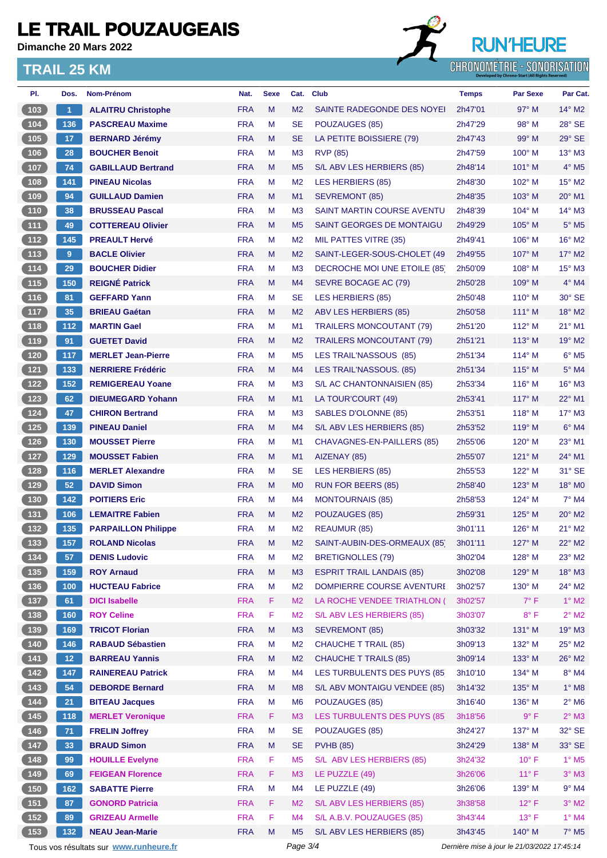**Dimanche 20 Mars 2022**

#### **TRAIL 25 KM**



| PI.                                               | Dos.                 | Nom-Prénom                             | Nat.       | <b>Sexe</b> | Cat.           | <b>Club</b>                       | <b>Temps</b>                                | <b>Par Sexe</b> | Par Cat.                  |
|---------------------------------------------------|----------------------|----------------------------------------|------------|-------------|----------------|-----------------------------------|---------------------------------------------|-----------------|---------------------------|
| (103)                                             | $\blacktriangleleft$ | <b>ALAITRU Christophe</b>              | <b>FRA</b> | M           | M <sub>2</sub> | SAINTE RADEGONDE DES NOYEI        | 2h47'01                                     | $97^\circ$ M    | $14^{\circ}$ M2           |
| $(104)$                                           | 136                  | <b>PASCREAU Maxime</b>                 | <b>FRA</b> | M           | <b>SE</b>      | POUZAUGES (85)                    | 2h47'29                                     | $98^\circ$ M    | 28° SE                    |
| (105)                                             | 17                   | <b>BERNARD Jérémy</b>                  | <b>FRA</b> | M           | <b>SE</b>      | LA PETITE BOISSIERE (79)          | 2h47'43                                     | $99^\circ$ M    | $29^\circ$ SE             |
| 106                                               | 28                   | <b>BOUCHER Benoit</b>                  | <b>FRA</b> | м           | M <sub>3</sub> | <b>RVP (85)</b>                   | 2h47'59                                     | $100^\circ$ M   | 13° M3                    |
| (107)                                             | 74                   | <b>GABILLAUD Bertrand</b>              | <b>FRA</b> | M           | M <sub>5</sub> | S/L ABV LES HERBIERS (85)         | 2h48'14                                     | $101^\circ$ M   | $4^\circ$ M <sub>5</sub>  |
| 108                                               | 141                  | <b>PINEAU Nicolas</b>                  | <b>FRA</b> | м           | M <sub>2</sub> | LES HERBIERS (85)                 | 2h48'30                                     | $102^\circ$ M   | 15° M2                    |
| (109)                                             | 94                   | <b>GUILLAUD Damien</b>                 | <b>FRA</b> | M           | M <sub>1</sub> | SEVREMONT (85)                    | 2h48'35                                     | $103^\circ$ M   | 20° M1                    |
| (110)                                             | 38                   | <b>BRUSSEAU Pascal</b>                 | <b>FRA</b> | M           | M <sub>3</sub> | <b>SAINT MARTIN COURSE AVENTU</b> | 2h48'39                                     | $104^\circ$ M   | $14^\circ$ M3             |
| (111)                                             | 49                   | <b>COTTEREAU Olivier</b>               | <b>FRA</b> | M           | M <sub>5</sub> | SAINT GEORGES DE MONTAIGU         | 2h49'29                                     | $105^\circ$ M   | $5^\circ$ M5              |
| $\begin{array}{c} \boxed{112} \end{array}$        | 145                  | <b>PREAULT Hervé</b>                   | <b>FRA</b> | м           | M <sub>2</sub> | MIL PATTES VITRE (35)             | 2h49'41                                     | $106^\circ$ M   | 16° M2                    |
| (113)                                             | 9                    | <b>BACLE Olivier</b>                   | <b>FRA</b> | M           | M <sub>2</sub> | SAINT-LEGER-SOUS-CHOLET (49       | 2h49'55                                     | $107^\circ$ M   | $17^\circ$ M2             |
| (114)                                             | 29                   | <b>BOUCHER Didier</b>                  | <b>FRA</b> | м           | M <sub>3</sub> | DECROCHE MOI UNE ETOILE (85)      | 2h50'09                                     | $108^\circ$ M   | $15^\circ$ M3             |
| (115)                                             | 150                  | <b>REIGNÉ Patrick</b>                  | <b>FRA</b> | M           | M4             | SEVRE BOCAGE AC (79)              | 2h50'28                                     | $109^\circ$ M   | $4^\circ$ M4              |
| $116$                                             | 81                   | <b>GEFFARD Yann</b>                    | <b>FRA</b> | M           | <b>SE</b>      | LES HERBIERS (85)                 | 2h50'48                                     | $110^\circ$ M   | $30^\circ$ SE             |
| (117)                                             | 35                   | <b>BRIEAU Gaétan</b>                   | <b>FRA</b> | M           | M <sub>2</sub> | <b>ABV LES HERBIERS (85)</b>      | 2h50'58                                     | $111^\circ$ M   | $18^\circ$ M2             |
| (118)                                             | $112$                | <b>MARTIN Gael</b>                     | <b>FRA</b> | M           | M <sub>1</sub> | <b>TRAILERS MONCOUTANT (79)</b>   | 2h51'20                                     | $112^{\circ}$ M | $21^{\circ}$ M1           |
| (119)                                             | 91                   | <b>GUETET David</b>                    | <b>FRA</b> | M           | M <sub>2</sub> | <b>TRAILERS MONCOUTANT (79)</b>   | 2h51'21                                     | $113^\circ$ M   | $19^\circ$ M2             |
| $\begin{array}{c} \hline 120 \end{array}$         | 117                  | <b>MERLET Jean-Pierre</b>              | <b>FRA</b> | М           | M <sub>5</sub> | LES TRAIL'NASSOUS (85)            | 2h51'34                                     | $114^\circ$ M   | $6°$ M <sub>5</sub>       |
| (121)                                             | 133                  | <b>NERRIERE Frédéric</b>               | <b>FRA</b> | M           | M4             | LES TRAIL'NASSOUS. (85)           | 2h51'34                                     | $115^\circ$ M   | $5^\circ$ M4              |
| $\begin{array}{c} \n122\n\end{array}$             | 152                  | <b>REMIGEREAU Yoane</b>                | <b>FRA</b> | M           | M <sub>3</sub> | S/L AC CHANTONNAISIEN (85)        | 2h53'34                                     | $116^\circ$ M   | $16^\circ$ M3             |
| (123)                                             | 62                   | <b>DIEUMEGARD Yohann</b>               | <b>FRA</b> | M           | M <sub>1</sub> | LA TOUR'COURT (49)                | 2h53'41                                     | $117^\circ$ M   | 22° M1                    |
| $124$                                             | 47                   | <b>CHIRON Bertrand</b>                 | <b>FRA</b> | M           | M <sub>3</sub> | SABLES D'OLONNE (85)              | 2h53'51                                     | $118^\circ$ M   | $17^\circ$ M3             |
| (125)                                             | 139                  | <b>PINEAU Daniel</b>                   | <b>FRA</b> | M           | M4             | S/L ABV LES HERBIERS (85)         | 2h53'52                                     | $119^\circ$ M   | $6^\circ$ M4              |
| $126$                                             | 130                  | <b>MOUSSET Pierre</b>                  | <b>FRA</b> | M           | M <sub>1</sub> | CHAVAGNES-EN-PAILLERS (85)        | 2h55'06                                     | $120^\circ$ M   | 23° M1                    |
| (127)                                             | 129                  | <b>MOUSSET Fabien</b>                  | <b>FRA</b> | M           | M <sub>1</sub> | AIZENAY (85)                      | 2h55'07                                     | $121^\circ$ M   | $24^{\circ}$ M1           |
| $128$                                             | 116                  | <b>MERLET Alexandre</b>                | <b>FRA</b> | м           | <b>SE</b>      | LES HERBIERS (85)                 | 2h55'53                                     | $122^{\circ}$ M | 31° SE                    |
| (129)                                             | 52                   | <b>DAVID Simon</b>                     | <b>FRA</b> | M           | M <sub>0</sub> | <b>RUN FOR BEERS (85)</b>         | 2h58'40                                     | $123^\circ$ M   | $18^\circ$ MO             |
| $\begin{array}{c} \n \textbf{130} \n \end{array}$ | 142                  | <b>POITIERS Eric</b>                   | <b>FRA</b> | м           | M <sub>4</sub> | <b>MONTOURNAIS (85)</b>           | 2h58'53                                     | $124^\circ$ M   | 7° M4                     |
| (131)                                             | 106                  | <b>LEMAITRE Fabien</b>                 | <b>FRA</b> | M           | M <sub>2</sub> | POUZAUGES (85)                    | 2h59'31                                     | $125^\circ$ M   | 20° M2                    |
| 132                                               | 135                  | <b>PARPAILLON Philippe</b>             | <b>FRA</b> | M           | M <sub>2</sub> | REAUMUR (85)                      | 3h01'11                                     | $126^\circ$ M   | $21^\circ$ M <sub>2</sub> |
| (133)                                             | 157                  | <b>ROLAND Nicolas</b>                  | <b>FRA</b> | M           | M <sub>2</sub> | SAINT-AUBIN-DES-ORMEAUX (85       | 3h01'11                                     | 127° M          | $22^{\circ}$ M2           |
| $\begin{bmatrix} 134 \end{bmatrix}$               | 57                   | <b>DENIS Ludovic</b>                   | <b>FRA</b> | M           | M <sub>2</sub> | <b>BRETIGNOLLES (79)</b>          | 3h02'04                                     | 128° M          | $23^\circ$ M2             |
| (135)                                             | 159                  | <b>ROY Arnaud</b>                      | <b>FRA</b> | M           | M3             | <b>ESPRIT TRAIL LANDAIS (85)</b>  | 3h02'08                                     | 129° M          | $18^\circ$ M3             |
| $136$                                             | 100                  | <b>HUCTEAU Fabrice</b>                 | <b>FRA</b> | М           | M <sub>2</sub> | DOMPIERRE COURSE AVENTURE         | 3h02'57                                     | $130^\circ$ M   | $24^{\circ}$ M2           |
| (137)                                             | 61                   | <b>DICI Isabelle</b>                   | <b>FRA</b> | F           | M <sub>2</sub> | LA ROCHE VENDEE TRIATHLON (       | 3h02'57                                     | $7^\circ$ F     | $1^\circ$ M2              |
| $\begin{array}{c} \n \textbf{138}\n \end{array}$  | 160                  | <b>ROY Celine</b>                      | <b>FRA</b> | F           | M <sub>2</sub> | S/L ABV LES HERBIERS (85)         | 3h03'07                                     | $8^{\circ}$ F   | $2^{\circ}$ M2            |
| $(139)$                                           | 169                  | <b>TRICOT Florian</b>                  | <b>FRA</b> | M           | M3             | <b>SEVREMONT (85)</b>             | 3h03'32                                     | 131° M          | 19° M3                    |
| $\begin{array}{c} 140 \\ \end{array}$             | 146                  | <b>RABAUD Sébastien</b>                | <b>FRA</b> | M           | M <sub>2</sub> | <b>CHAUCHE T TRAIL (85)</b>       | 3h09'13                                     | 132° M          | $25^\circ$ M2             |
| (141)                                             | 12 <sub>1</sub>      | <b>BARREAU Yannis</b>                  | <b>FRA</b> | M           | M <sub>2</sub> | <b>CHAUCHE T TRAILS (85)</b>      | 3h09'14                                     | 133° M          | $26^\circ$ M2             |
| $142$                                             | 147                  | <b>RAINEREAU Patrick</b>               | <b>FRA</b> | M           | M <sub>4</sub> | LES TURBULENTS DES PUYS (85)      | 3h10'10                                     | $134^\circ$ M   | 8° M4                     |
| (143)                                             | 54                   | <b>DEBORDE Bernard</b>                 | <b>FRA</b> | M           | M <sub>8</sub> | S/L ABV MONTAIGU VENDEE (85)      | 3h14'32                                     | 135° M          | $1^\circ$ M8              |
|                                                   | 21                   | <b>BITEAU Jacques</b>                  | <b>FRA</b> | M           | M <sub>6</sub> | POUZAUGES (85)                    | 3h16'40                                     | $136^\circ$ M   | $2^{\circ}$ M6            |
| (145)                                             | 118                  | <b>MERLET Veronique</b>                | <b>FRA</b> | F           | M <sub>3</sub> | LES TURBULENTS DES PUYS (85       | 3h18'56                                     | 9° F            | $2^{\circ}$ M3            |
| $146$                                             | 71                   | <b>FRELIN Joffrey</b>                  | <b>FRA</b> | M           | <b>SE</b>      | POUZAUGES (85)                    | 3h24'27                                     | 137° M          | $32^\circ$ SE             |
| (147)                                             | 33                   | <b>BRAUD Simon</b>                     | <b>FRA</b> | M           | <b>SE</b>      | <b>PVHB (85)</b>                  | 3h24'29                                     | $138^\circ$ M   | 33° SE                    |
| $148$                                             | 99                   | <b>HOUILLE Evelyne</b>                 | <b>FRA</b> | F           | M <sub>5</sub> | S/L ABV LES HERBIERS (85)         | 3h24'32                                     | $10^{\circ}$ F  | $1^\circ$ M <sub>5</sub>  |
| (149)                                             | 69                   | <b>FEIGEAN Florence</b>                | <b>FRA</b> | F.          | M <sub>3</sub> | LE PUZZLE (49)                    | 3h26'06                                     | $11^{\circ}$ F  | $3°$ M3                   |
| $150$                                             | 162                  | <b>SABATTE Pierre</b>                  | <b>FRA</b> | M           | M <sub>4</sub> | LE PUZZLE (49)                    | 3h26'06                                     | 139° M          | $9°$ M4                   |
| (151)                                             |                      | <b>GONORD Patricia</b>                 | <b>FRA</b> | F.          | M <sub>2</sub> | S/L ABV LES HERBIERS (85)         |                                             | $12^{\circ}$ F  | $3^\circ$ M2              |
| $152$                                             | 87<br>89             | <b>GRIZEAU Armelle</b>                 | <b>FRA</b> | F           | M4             | S/L A.B.V. POUZAUGES (85)         | 3h38'58<br>3h43'44                          | $13^{\circ}$ F  | 1° M4                     |
| 153                                               | 132                  | <b>NEAU Jean-Marie</b>                 | <b>FRA</b> | M           | M <sub>5</sub> | S/L ABV LES HERBIERS (85)         | 3h43'45                                     | 140° M          | 7° M5                     |
|                                                   |                      |                                        |            |             | Page 3/4       |                                   | Dernière mise à jour le 21/03/2022 17:45:14 |                 |                           |
|                                                   |                      | Tous vos résultats sur www.runheure.fr |            |             |                |                                   |                                             |                 |                           |